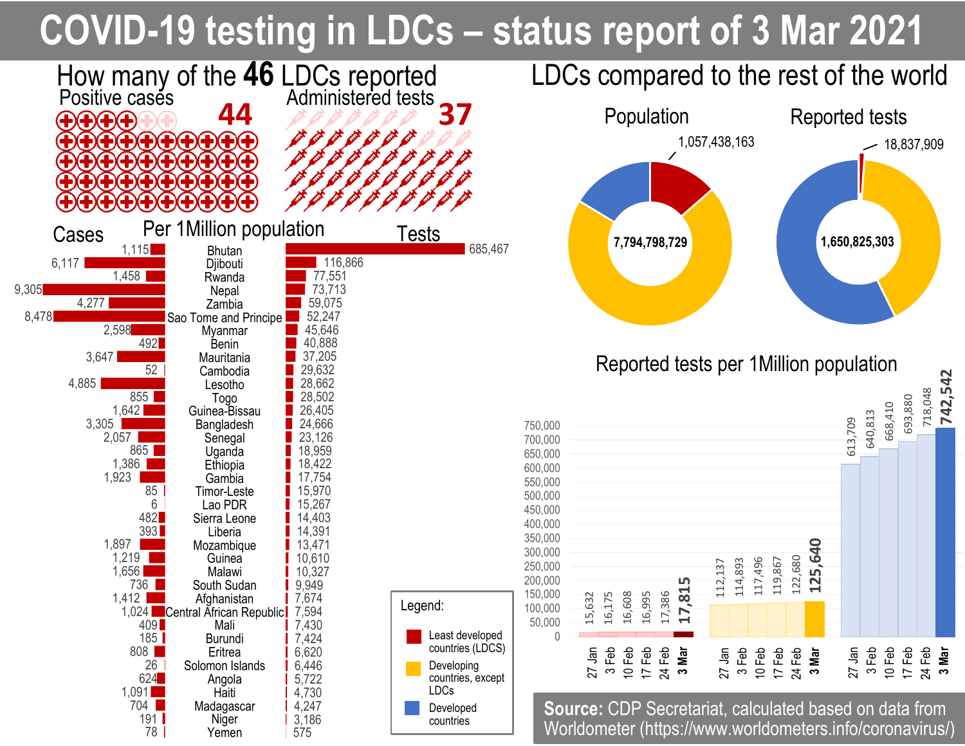## **COVID-19 testing in LDCs – status report of 3 Mar 2021**



693,880

718,048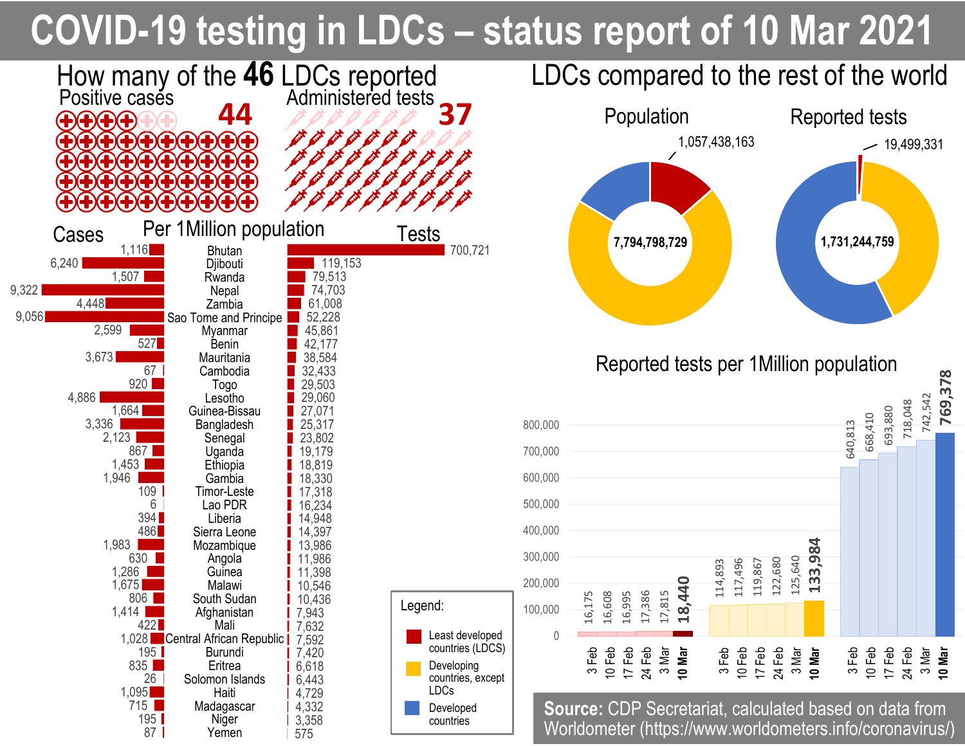# **COVID-19 testing in LDCs – status report of 10 Mar 2021**

 $-19,499,331$ 

668,410

693,880

10 Feb 17 Feb 24 Feb

3 Mar **10 Mar**

718,048

742,542

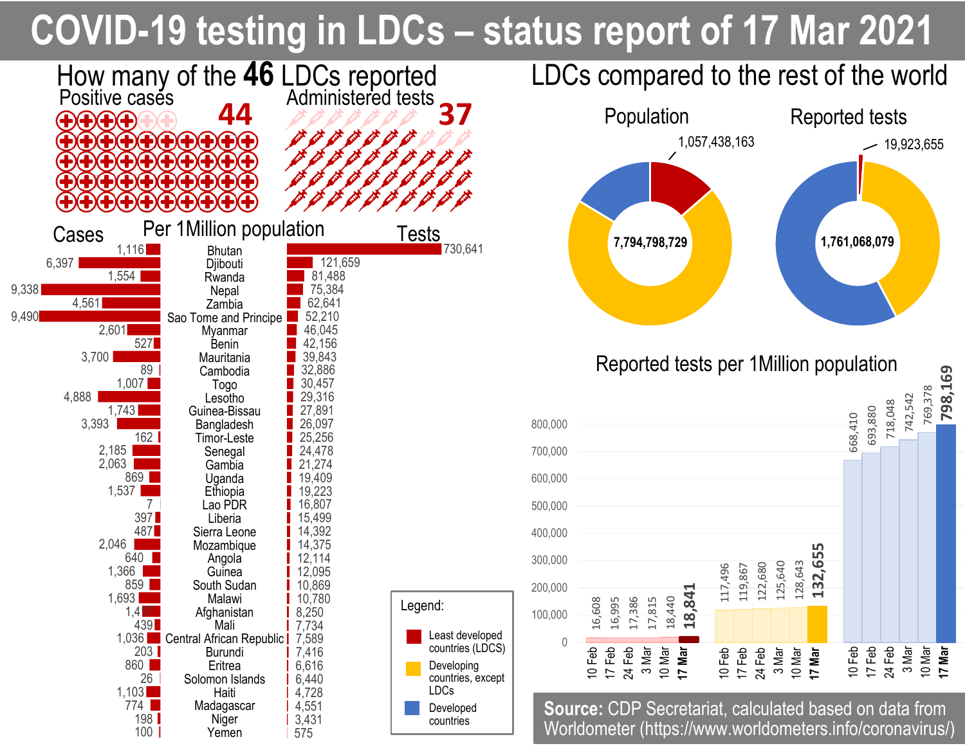# **COVID-19 testing in LDCs – status report of 17 Mar 2021**

 $-19,923,655$ 

668,410

10 Feb 17 Feb 24 Feb 3 Mar

693,880

718,048

742,542

769,378

10 Mar<br>**17 Mar 17 Mar**

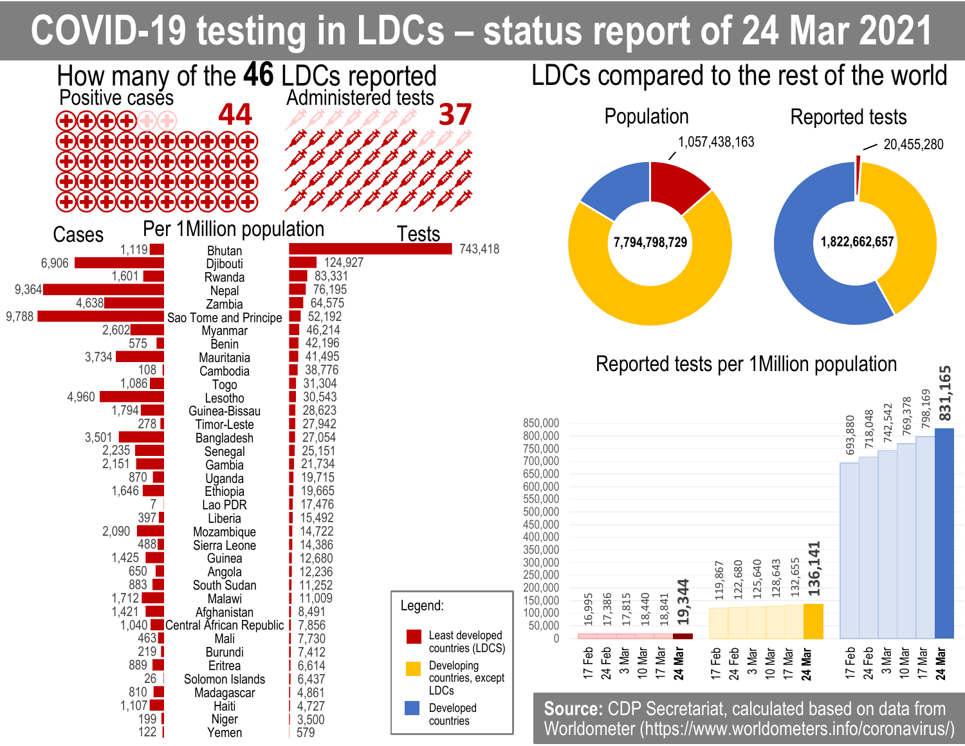# **COVID-19 testing in LDCs – status report of 24 Mar 2021**



769,378

798,169

10 Mar 17 Mar **24 Mar**